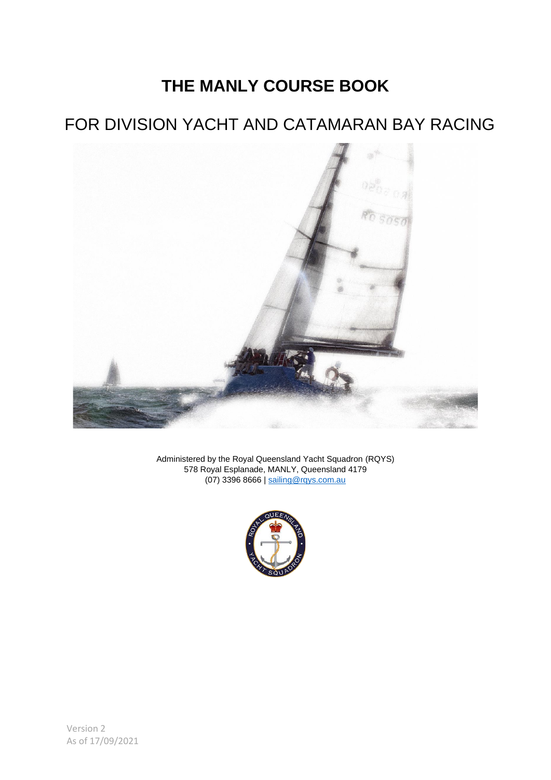# **THE MANLY COURSE BOOK**

# FOR DIVISION YACHT AND CATAMARAN BAY RACING



Administered by the Royal Queensland Yacht Squadron (RQYS) 578 Royal Esplanade, MANLY, Queensland 4179 (07) 3396 8666 | [sailing@rqys.com.au](mailto:sailing@rqys.com.au)

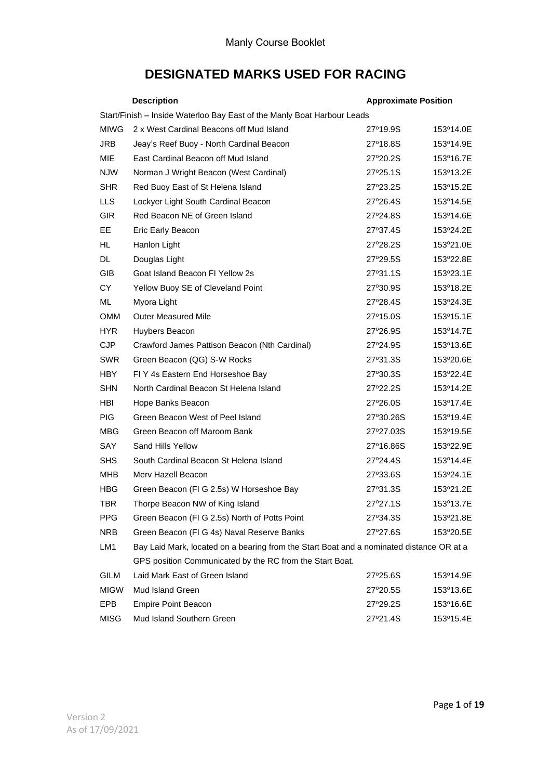# **DESIGNATED MARKS USED FOR RACING**

|                                                                         | <b>Description</b>                                                                       | <b>Approximate Position</b> |           |  |  |  |
|-------------------------------------------------------------------------|------------------------------------------------------------------------------------------|-----------------------------|-----------|--|--|--|
| Start/Finish - Inside Waterloo Bay East of the Manly Boat Harbour Leads |                                                                                          |                             |           |  |  |  |
| <b>MIWG</b>                                                             | 2 x West Cardinal Beacons off Mud Island                                                 | 27°19.9S                    | 153°14.0E |  |  |  |
| <b>JRB</b>                                                              | Jeay's Reef Buoy - North Cardinal Beacon                                                 | 27°18.8S                    | 153°14.9E |  |  |  |
| <b>MIE</b>                                                              | East Cardinal Beacon off Mud Island                                                      | 27°20.2S                    | 153°16.7E |  |  |  |
| <b>NJW</b>                                                              | Norman J Wright Beacon (West Cardinal)                                                   | 27°25.1S                    | 153°13.2E |  |  |  |
| <b>SHR</b>                                                              | Red Buoy East of St Helena Island                                                        | 27°23.2S                    | 153°15.2E |  |  |  |
| <b>LLS</b>                                                              | Lockyer Light South Cardinal Beacon                                                      | 27°26.4S                    | 153°14.5E |  |  |  |
| <b>GIR</b>                                                              | Red Beacon NE of Green Island                                                            | 27°24.8S                    | 153°14.6E |  |  |  |
| EE                                                                      | Eric Early Beacon                                                                        | 27°37.4S                    | 153°24.2E |  |  |  |
| HL                                                                      | Hanlon Light                                                                             | 27°28.2S                    | 153°21.0E |  |  |  |
| <b>DL</b>                                                               | Douglas Light                                                                            | 27°29.5S                    | 153°22.8E |  |  |  |
| GIB                                                                     | Goat Island Beacon FI Yellow 2s                                                          | 27°31.1S                    | 153°23.1E |  |  |  |
| CY.                                                                     | Yellow Buoy SE of Cleveland Point                                                        | 27°30.9S                    | 153°18.2E |  |  |  |
| ML                                                                      | Myora Light                                                                              | 27°28.4S                    | 153°24.3E |  |  |  |
| <b>OMM</b>                                                              | <b>Outer Measured Mile</b>                                                               | 27°15.0S                    | 153°15.1E |  |  |  |
| <b>HYR</b>                                                              | Huybers Beacon                                                                           | 27°26.9S                    | 153°14.7E |  |  |  |
| <b>CJP</b>                                                              | Crawford James Pattison Beacon (Nth Cardinal)                                            | 27°24.9S                    | 153°13.6E |  |  |  |
| <b>SWR</b>                                                              | Green Beacon (QG) S-W Rocks                                                              | 27°31.3S                    | 153°20.6E |  |  |  |
| <b>HBY</b>                                                              | FIY 4s Eastern End Horseshoe Bay                                                         | 27°30.3S                    | 153°22.4E |  |  |  |
| <b>SHN</b>                                                              | North Cardinal Beacon St Helena Island                                                   | 27°22.2S                    | 153°14.2E |  |  |  |
| <b>HBI</b>                                                              | Hope Banks Beacon                                                                        | 27°26.0S                    | 153°17.4E |  |  |  |
| PIG.                                                                    | Green Beacon West of Peel Island                                                         | 27°30.26S                   | 153°19.4E |  |  |  |
| <b>MBG</b>                                                              | Green Beacon off Maroom Bank                                                             | 27°27.03S                   | 153°19.5E |  |  |  |
| SAY                                                                     | Sand Hills Yellow                                                                        | 27°16.86S                   | 153°22.9E |  |  |  |
| SHS.                                                                    | South Cardinal Beacon St Helena Island                                                   | 27°24.4S                    | 153°14.4E |  |  |  |
| <b>MHB</b>                                                              | Merv Hazell Beacon                                                                       | 27°33.6S                    | 153°24.1E |  |  |  |
| <b>HBG</b>                                                              | Green Beacon (FI G 2.5s) W Horseshoe Bay                                                 | 27°31.3S                    | 153°21.2E |  |  |  |
| TBR                                                                     | Thorpe Beacon NW of King Island                                                          | 27°27.1S                    | 153°13.7E |  |  |  |
| <b>PPG</b>                                                              | Green Beacon (FI G 2.5s) North of Potts Point                                            | 27°34.3S                    | 153°21.8E |  |  |  |
| <b>NRB</b>                                                              | Green Beacon (FI G 4s) Naval Reserve Banks                                               | 27°27.6S                    | 153°20.5E |  |  |  |
| LM1                                                                     | Bay Laid Mark, located on a bearing from the Start Boat and a nominated distance OR at a |                             |           |  |  |  |
|                                                                         | GPS position Communicated by the RC from the Start Boat.                                 |                             |           |  |  |  |
| <b>GILM</b>                                                             | Laid Mark East of Green Island                                                           | 27°25.6S                    | 153°14.9E |  |  |  |
| <b>MIGW</b>                                                             | Mud Island Green                                                                         | 27°20.5S                    | 153°13.6E |  |  |  |
| EPB                                                                     | <b>Empire Point Beacon</b>                                                               | 27°29.2S                    | 153°16.6E |  |  |  |
| MISG                                                                    | Mud Island Southern Green                                                                | 27°21.4S                    | 153°15.4E |  |  |  |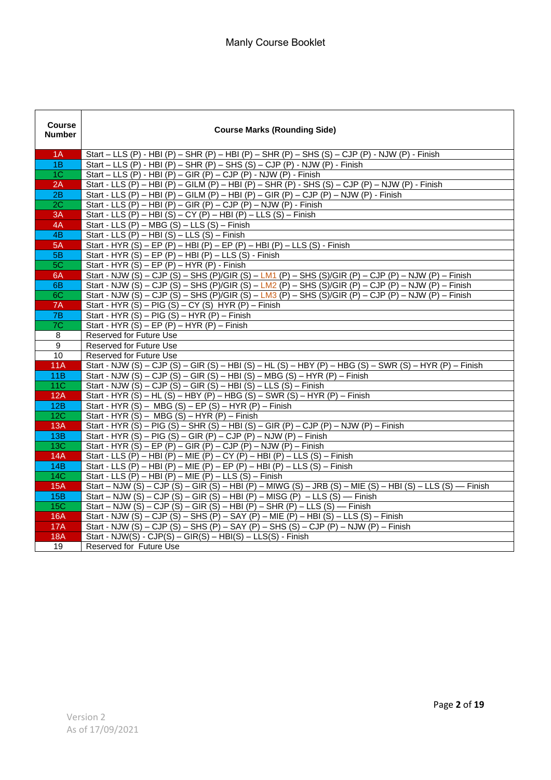| <b>Course</b><br><b>Number</b> | <b>Course Marks (Rounding Side)</b>                                                                                                                      |  |  |
|--------------------------------|----------------------------------------------------------------------------------------------------------------------------------------------------------|--|--|
| 1A                             | Start - LLS (P) - HBI (P) - SHR (P) - HBI (P) - SHR (P) - SHS (S) - CJP (P) - NJW (P) - Finish                                                           |  |  |
| 1B                             | Start - LLS (P) - HBI (P) - SHR (P) - SHS (S) - CJP (P) - NJW (P) - Finish                                                                               |  |  |
| 1 <sup>C</sup>                 | Start - LLS (P) - HBI (P) - GIR (P) - CJP (P) - NJW (P) - Finish                                                                                         |  |  |
| 2A                             | Start - LLS (P) - HBI (P) - GILM (P) - HBI (P) - SHR (P) - SHS (S) - CJP (P) - NJW (P) - Finish                                                          |  |  |
| 2B                             | Start - LLS (P) - HBI (P) - GILM (P) - HBI (P) - GIR (P) - CJP (P) - NJW (P) - Finish                                                                    |  |  |
| 2C                             | Start - LLS (P) - HBI (P) - GIR (P) - CJP (P) - NJW (P) - Finish                                                                                         |  |  |
| 3A                             | Start - LLS (P) - HBI (S) - CY (P) - HBI (P) - LLS (S) - Finish                                                                                          |  |  |
| 4A                             | Start - LLS $(P)$ – MBG $(S)$ – LLS $(S)$ – Finish                                                                                                       |  |  |
| 4B                             | Start - LLS $(P)$ – HBI $(S)$ – LLS $(S)$ – Finish                                                                                                       |  |  |
| 5A                             | Start - HYR (S) - EP (P) - HBI (P) - EP (P) - HBI (P) - LLS (S) - Finish                                                                                 |  |  |
| 5B                             | Start - HYR $(S)$ – EP $(P)$ – HBI $(P)$ – LLS $(S)$ - Finish                                                                                            |  |  |
| 5C                             | Start - HYR $(S)$ – EP $(P)$ – HYR $(P)$ - Finish                                                                                                        |  |  |
| 6A                             | Start - NJW (S) - CJP (S) - SHS (P)/GIR (S) - LM1 (P) - SHS (S)/GIR (P) - CJP (P) - NJW (P) - Finish                                                     |  |  |
| 6B                             | Start - NJW (S) - CJP (S) - SHS (P)/GIR (S) - LM2 (P) - SHS (S)/GIR (P) - CJP (P) - NJW (P) - Finish                                                     |  |  |
| 6C                             | Start - NJW (S) – CJP (S) – SHS (P)/GIR (S) – LM3 (P) – SHS (S)/GIR (P) – CJP (P) – NJW (P) – Finish                                                     |  |  |
| 7A                             | Start - HYR (S) - PIG (S) - CY (S) HYR (P) - Finish                                                                                                      |  |  |
| 7B                             | Start - HYR $(S)$ – PIG $(S)$ – HYR $(P)$ – Finish                                                                                                       |  |  |
| 7C                             | Start - HYR $(S)$ – EP $(P)$ – HYR $(P)$ – Finish                                                                                                        |  |  |
| $\overline{8}$                 | Reserved for Future Use                                                                                                                                  |  |  |
| $\mathsf g$                    | Reserved for Future Use                                                                                                                                  |  |  |
| 10                             | Reserved for Future Use                                                                                                                                  |  |  |
| 11A                            | Start - NJW (S) – CJP (S) – GIR (S) – HBI (S) – HL (S) – HBY (P) – HBG (S) – SWR (S) – HYR (P) – Finish                                                  |  |  |
| 11B                            | Start - NJW (S) – CJP (S) – GIR (S) – HBI (S) – MBG (S) – HYR (P) – Finish                                                                               |  |  |
| 11C                            | Start - NJW (S) – CJP (S) – GIR (S) – HBI (S) – LLS (S) – Finish                                                                                         |  |  |
| 12A                            | Start - HYR (S) - HL (S) - HBY (P) - HBG (S) - SWR (S) - HYR (P) - Finish                                                                                |  |  |
| 12B                            | Start - HYR (S) - MBG (S) - EP (S) - HYR (P) - Finish                                                                                                    |  |  |
| 12C                            | Start - HYR $(S)$ – MBG $(S)$ – HYR $(P)$ – Finish                                                                                                       |  |  |
| 13A<br>13B                     | Start - HYR (S) - PIG (S) - SHR (S) - HBI (S) - GIR (P) - CJP (P) - NJW (P) - Finish<br>Start - HYR (S) – PIG (S) – GIR (P) – CJP (P) – NJW (P) – Finish |  |  |
| 13C                            | Start - HYR (S) – EP (P) – GIR (P) – CJP (P) – NJW (P) – Finish                                                                                          |  |  |
| 14A                            | Start - LLS (P) - HBI (P) - MIE (P) - CY (P) - HBI (P) - LLS (S) - Finish                                                                                |  |  |
| 14B                            | Start - LLS (P) - HBI (P) - MIE (P) - EP (P) - HBI (P) - LLS (S) - Finish                                                                                |  |  |
| <b>14C</b>                     | Start - LLS $(P)$ – HBI $(P)$ – MIE $(P)$ – LLS $(S)$ – Finish                                                                                           |  |  |
| 15A                            | Start – NJW (S) – CJP (S) – GIR (S) – HBI (P) – MIWG (S) – JRB (S) – MIE (S) – HBI (S) – LLS (S) — Finish                                                |  |  |
| 15B                            | Start – NJW (S) – CJP (S) – GIR (S) – HBI (P) – MISG (P) – LLS (S) — Finish                                                                              |  |  |
| <b>15C</b>                     | Start – NJW (S) – CJP (S) – GIR (S) – HBI (P) – SHR (P) – LLS (S) — Finish                                                                               |  |  |
| <b>16A</b>                     | Start - NJW (S) - CJP (S) - SHS (P) - SAY (P) - MIE (P) - HBI (S) - LLS (S) - Finish                                                                     |  |  |
| 17A                            | Start - NJW (S) – CJP (S) – SHS (P) – SAY (P) – SHS (S) – CJP (P) – NJW (P) – Finish                                                                     |  |  |
| <b>18A</b>                     | Start - NJW(S) - $CJP(S) - GIR(S) - HBI(S) - LLS(S)$ - Finish                                                                                            |  |  |
| 19                             | Reserved for Future Use                                                                                                                                  |  |  |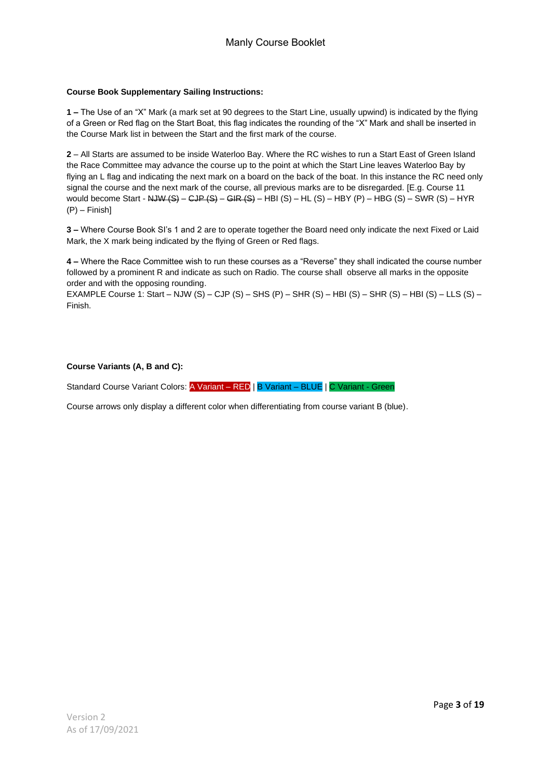#### **Course Book Supplementary Sailing Instructions:**

**1 –** The Use of an "X" Mark (a mark set at 90 degrees to the Start Line, usually upwind) is indicated by the flying of a Green or Red flag on the Start Boat, this flag indicates the rounding of the "X" Mark and shall be inserted in the Course Mark list in between the Start and the first mark of the course.

**2** – All Starts are assumed to be inside Waterloo Bay. Where the RC wishes to run a Start East of Green Island the Race Committee may advance the course up to the point at which the Start Line leaves Waterloo Bay by flying an L flag and indicating the next mark on a board on the back of the boat. In this instance the RC need only signal the course and the next mark of the course, all previous marks are to be disregarded. [E.g. Course 11 would become Start - NJW (S) – CJP (S) – GIR (S) – HBI (S) – HL (S) – HBY (P) – HBG (S) – SWR (S) – HYR  $(P)$  – Finish]

**3 –** Where Course Book SI's 1 and 2 are to operate together the Board need only indicate the next Fixed or Laid Mark, the X mark being indicated by the flying of Green or Red flags.

**4 –** Where the Race Committee wish to run these courses as a "Reverse" they shall indicated the course number followed by a prominent R and indicate as such on Radio. The course shall observe all marks in the opposite order and with the opposing rounding.

EXAMPLE Course 1: Start – NJW (S) – CJP (S) – SHS (P) – SHR (S) – HBI (S) – SHR (S) – HBI (S) – LLS (S) – Finish.

#### **Course Variants (A, B and C):**

Standard Course Variant Colors: A Variant – RED | B Variant – BLUE | C Variant - Green

Course arrows only display a different color when differentiating from course variant B (blue).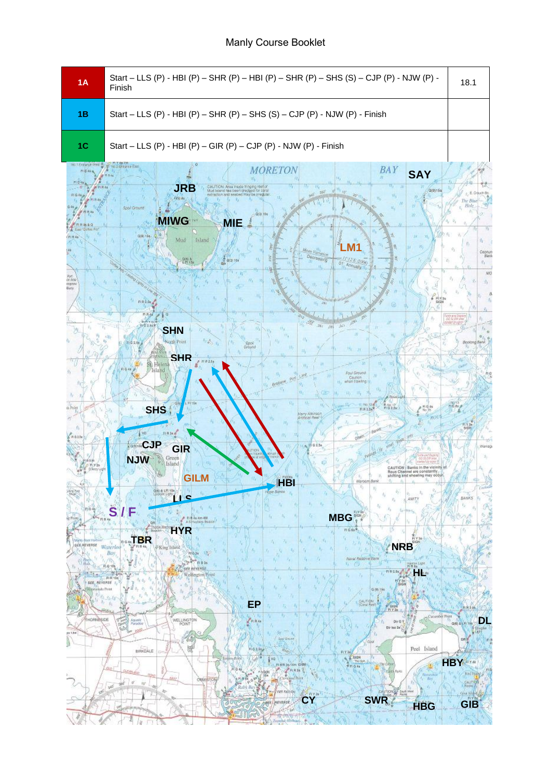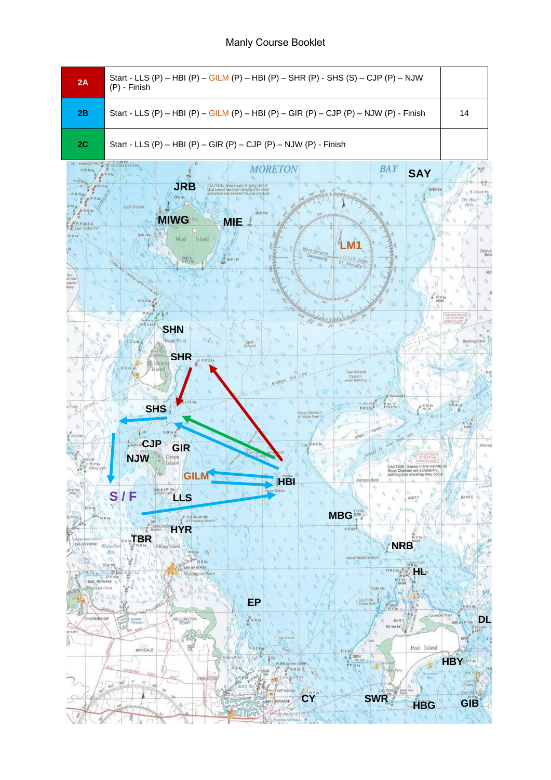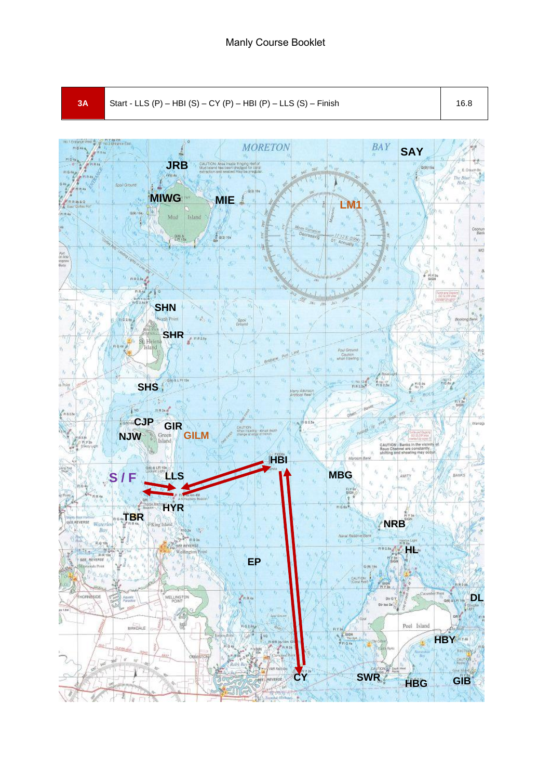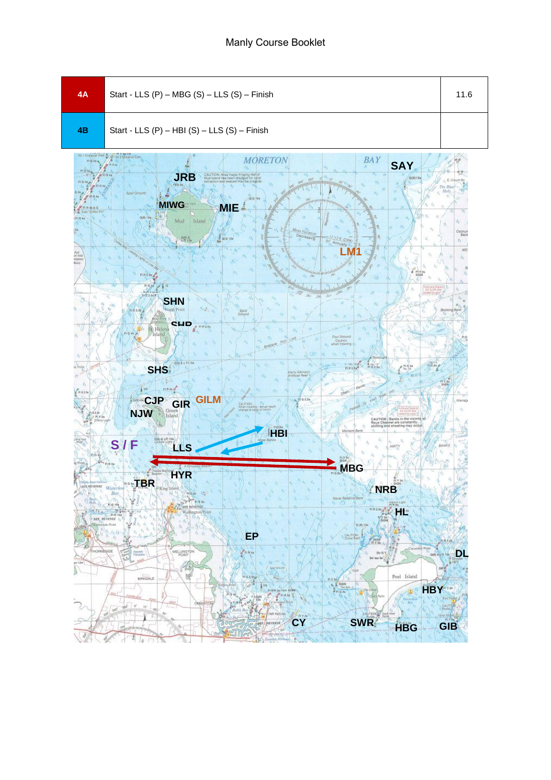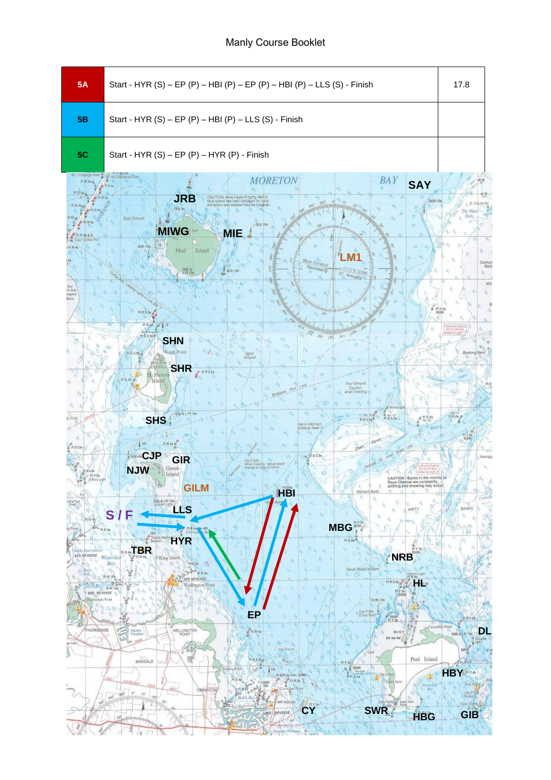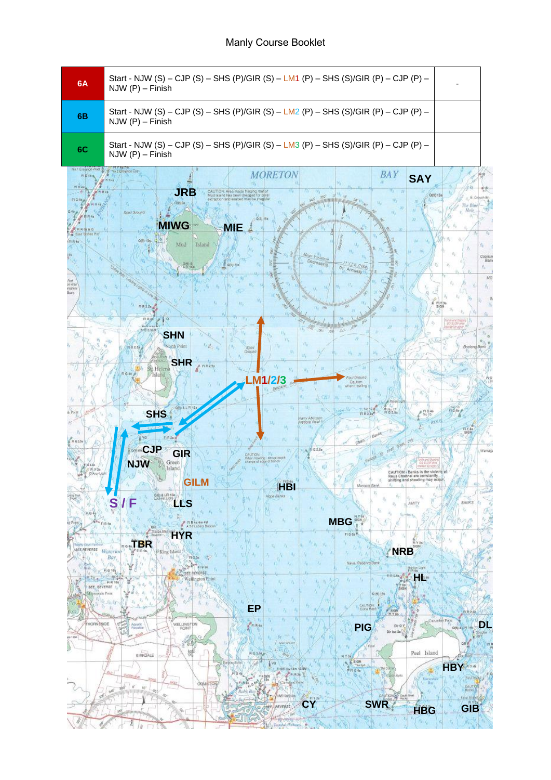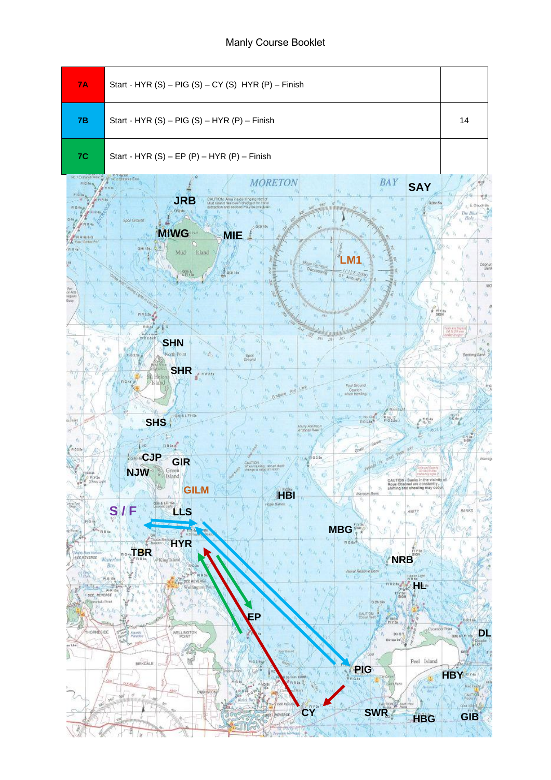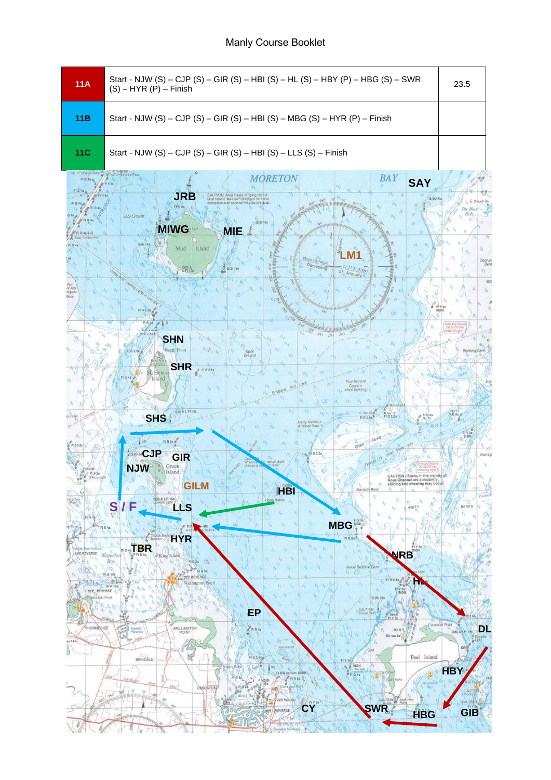| 11A                                                                                                                                                                                                                              | Start - NJW (S) - CJP (S) - GIR (S) - HBI (S) - HL (S) - HBY (P) - HBG (S) - SWR<br>$(S) - HYR(P) - Finish$                                                                                                                                                                                                                                                                                                                                                                                                                                                                                                                                                                                                                                                                                                                                                                                                                                                                                                                                                                                                                                                                                                                                                                                                                                                                                                                                                                                                                                                                                                                                    | 23.5                                                                                                                                                  |
|----------------------------------------------------------------------------------------------------------------------------------------------------------------------------------------------------------------------------------|------------------------------------------------------------------------------------------------------------------------------------------------------------------------------------------------------------------------------------------------------------------------------------------------------------------------------------------------------------------------------------------------------------------------------------------------------------------------------------------------------------------------------------------------------------------------------------------------------------------------------------------------------------------------------------------------------------------------------------------------------------------------------------------------------------------------------------------------------------------------------------------------------------------------------------------------------------------------------------------------------------------------------------------------------------------------------------------------------------------------------------------------------------------------------------------------------------------------------------------------------------------------------------------------------------------------------------------------------------------------------------------------------------------------------------------------------------------------------------------------------------------------------------------------------------------------------------------------------------------------------------------------|-------------------------------------------------------------------------------------------------------------------------------------------------------|
| 11B                                                                                                                                                                                                                              | Start - NJW (S) – CJP (S) – GIR (S) – HBI (S) – MBG (S) – HYR (P) – Finish                                                                                                                                                                                                                                                                                                                                                                                                                                                                                                                                                                                                                                                                                                                                                                                                                                                                                                                                                                                                                                                                                                                                                                                                                                                                                                                                                                                                                                                                                                                                                                     |                                                                                                                                                       |
| 11C                                                                                                                                                                                                                              | Start - NJW (S) - CJP (S) - GIR (S) - HBI (S) - LLS (S) - Finish                                                                                                                                                                                                                                                                                                                                                                                                                                                                                                                                                                                                                                                                                                                                                                                                                                                                                                                                                                                                                                                                                                                                                                                                                                                                                                                                                                                                                                                                                                                                                                               |                                                                                                                                                       |
| Port<br>Se Ara<br>repres<br><b>Bucy</b><br>h Point<br>$R$ $64$<br>is Notas<br><b>Hoot triet</b><br><b>SEE REVERSE Waterloo</b><br>$\overline{M}$<br><b>Tives</b><br>SEE, REVERSE<br>Migroecki Point<br><b>THORNBSIDE</b><br>efe. | <b>BAY</b><br><b>MORETON</b><br><b>SAY</b><br><b>JRB</b><br>d has been dredged for coral<br><b><i>UNUNUV</i></b><br>Sooil Ground<br>0.0 10<br><b>MIWG</b><br><b>MIE</b><br>Mud<br>Island<br>on Variation<br>Decreasing<br>$0(3)$ 35s<br>E 2000<br>of Annually<br><b>SHN</b><br>W.<br>onh'Point<br>Dround<br><b>SHR</b><br>ri A 2.5 p<br>St. Helena<br>Foul Ground<br>Caution<br>when trawling<br>BIE<br><b>SHS</b><br>VO<br>FIR Sea<br>unan<br><b>Lostin CJP</b><br>GIR<br><b>NJW</b><br>Green<br>Island<br>CAUTION   Banks in the<br>Rous Channel are constantly<br>a and shoaling may<br><b>GILIVI</b><br>Maroom Bank<br><b>HBI</b><br>OBJ-& LFI 15s<br>Hone Banks<br>o,<br>LLS<br>$\mathbf{s}$ /<br>AMT)<br><b>MBG</b><br>orbe Marts<br><b>HYR</b><br>$\Pi$ G Ga <sup><math>\phi</math></sup><br><b>BRACTBR</b><br>SIGN<br><b>NRB</b><br>King Island<br>Bay<br>From 17<br>14<br>Naval Reserve Bank<br>日日科<br>$V_1 \cap U_2$<br>FLG 101<br><b>BEE REVERSE</b><br>FIRSAL,<br>hN<br>Wellington Point<br>Pi-R 10s<br>お店<br>EY Se<br>0.70.159<br>CALITION:<br>Const Hest<br>EP.<br>Aguatic<br>Panolae<br>WELLINGTON<br><b>RIR4s</b><br>$D+Q$<br>Dir iso 2x<br>所<br>Sport Drawd<br><b>Court</b><br>Peel Island<br><b>BIRKDALE</b><br>0.2/15<br>15<br><b>Ross</b><br><b>HOIS</b><br>Embiny@ain<br>wa<br>$T_0 + 3/4$<br><b>CThe Colta</b><br>FLMR 36-14m 13/0V<br>WITG As<br>Gb.<br><b><i>Press Parts</i></b><br><b><i>Registry</i></b><br>bles! Point<br><b>Básir</b><br>Bay<br><b>ORMISTON</b><br>ro <sup>-</sup><br>$\mathcal{A}^{\vec{0}}$<br><b><i><u>Physiological Artistics</u></i></b><br>卤<br>CAUTION & South West<br><b><i>UNITED</i></b> | Coony<br>Ben<br>$v_{\perp}$<br>MO<br>Booking<br><b>BANKS</b><br>ï,<br>Cacamber Point<br><b>DL</b><br>Q(6) & LF<br><b>GRW</b><br><b>HBY</b><br>CAUTION |
|                                                                                                                                                                                                                                  | <b>SWR</b><br><b>CY</b><br><b>REVERSE</b><br><b>HBG</b><br>эĐ<br>rombal: Whi                                                                                                                                                                                                                                                                                                                                                                                                                                                                                                                                                                                                                                                                                                                                                                                                                                                                                                                                                                                                                                                                                                                                                                                                                                                                                                                                                                                                                                                                                                                                                                   | Gra Have<br>GIB                                                                                                                                       |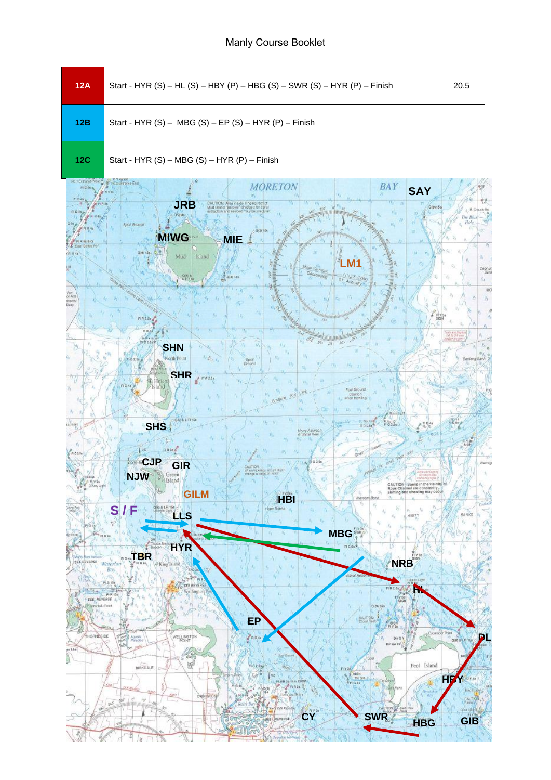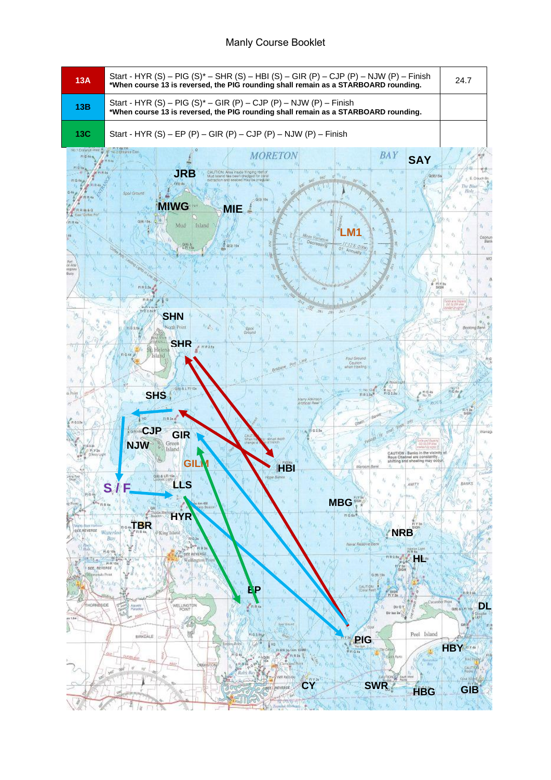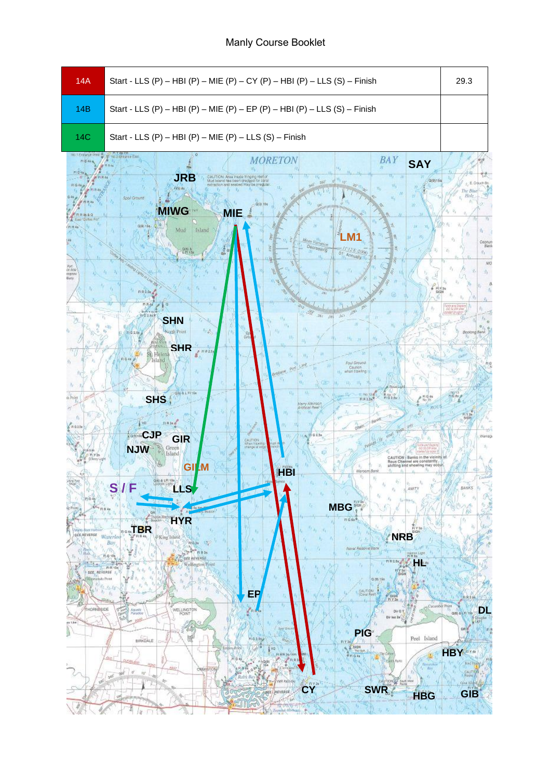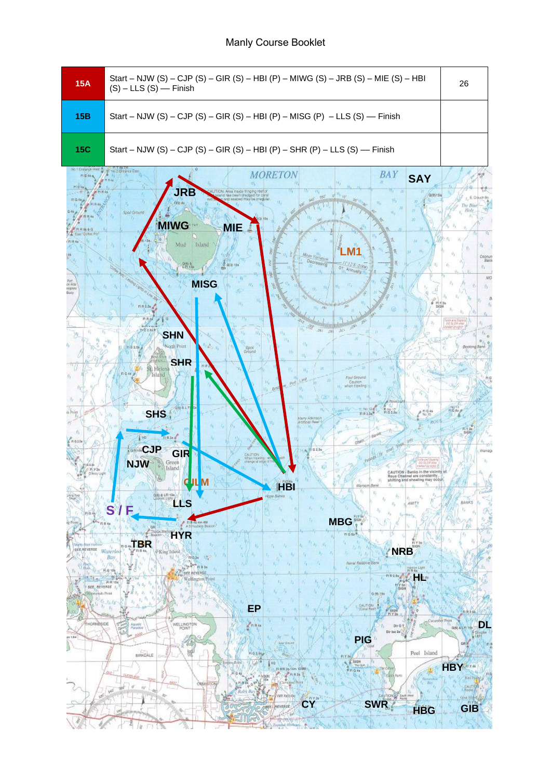| <b>15A</b>                                                                                                                                                                                    | Start - NJW (S) - CJP (S) - GIR (S) - HBI (P) - MIWG (S) - JRB (S) - MIE (S) - HBI<br>$(S)$ – LLS $(S)$ –– Finish                                                                                                                                                                                                                                                                                                                                                                                                                                                                                                                                                                                                                                                                                                                                                                                                                                                                                                                                                                                                                                                                                                                                                                                                                                                                                                                                                                                                                                                                     | 26                                                                                      |
|-----------------------------------------------------------------------------------------------------------------------------------------------------------------------------------------------|---------------------------------------------------------------------------------------------------------------------------------------------------------------------------------------------------------------------------------------------------------------------------------------------------------------------------------------------------------------------------------------------------------------------------------------------------------------------------------------------------------------------------------------------------------------------------------------------------------------------------------------------------------------------------------------------------------------------------------------------------------------------------------------------------------------------------------------------------------------------------------------------------------------------------------------------------------------------------------------------------------------------------------------------------------------------------------------------------------------------------------------------------------------------------------------------------------------------------------------------------------------------------------------------------------------------------------------------------------------------------------------------------------------------------------------------------------------------------------------------------------------------------------------------------------------------------------------|-----------------------------------------------------------------------------------------|
| 15B                                                                                                                                                                                           | Start - NJW (S) - CJP (S) - GIR (S) - HBI (P) - MISG (P) - LLS (S) - Finish                                                                                                                                                                                                                                                                                                                                                                                                                                                                                                                                                                                                                                                                                                                                                                                                                                                                                                                                                                                                                                                                                                                                                                                                                                                                                                                                                                                                                                                                                                           |                                                                                         |
| <b>15C</b>                                                                                                                                                                                    | Start - NJW (S) - CJP (S) - GIR (S) - HBI (P) - SHR (P) - LLS (S) - Finish                                                                                                                                                                                                                                                                                                                                                                                                                                                                                                                                                                                                                                                                                                                                                                                                                                                                                                                                                                                                                                                                                                                                                                                                                                                                                                                                                                                                                                                                                                            |                                                                                         |
| 4) 1 Entrance Ways<br>de Ara<br>repose<br>ils Point<br>R@45<br>We've Boot trasbase<br>ses Revense Waterloo<br>$\frac{1}{2}$<br>SEE, REVERSE 1,<br><b>Harrockski</b> Pornt<br><b>HORNBSIDE</b> | <b>Historic Fax</b><br><b>BAY</b><br><b>MORETON</b><br><b>SAY</b><br><b>JRB</b><br>TION. Also inside fringing real o<br>Spoil Ground<br><b>MIWG</b><br><b>MIE</b><br>Mud<br>Island<br>to Variation<br>Decreasing<br>om a<br>CH isa<br>(2/3)/3a<br>E 2004<br>01 Annually<br><b>MISG</b><br>RR2SE,<br><b>FIRA</b><br><b>SHN</b><br>sub Point<br>Epok<br>Dropnel<br><b>SHR</b><br>'Islanc<br><b>DUI GYOLYK</b><br>Caution<br>when trawing<br>$B^{\dagger}$<br><b>SHS</b><br>Marry Allistians<br>järgticiat Reel<br>Barkh<br>VO<br><b>STARTS</b><br><b>GSHCJP</b><br>0.2.56<br>GIR<br><b>WITTON</b><br><b>Montrawing</b><br>Green<br>Island<br><b>NJW</b><br>Rous Channel are constantly<br>shifting and shoating may oco<br>Maroo<br><u>HB</u><br>瓜<br>180 & LFI 156<br>coe Banks<br>LLS<br><b>AMTY</b><br>S/F<br><b>MBG</b><br>FLR 4s Am 4M<br>A Spaytep Beson!<br>Boards Made<br><b>HYR</b><br>$F1G$ Ga <sup>R</sup><br><b>BR</b><br>SIGN<br><b>NRB</b><br>$F(H, 4\pi)$<br><sup>6</sup> King Island<br><b>Bay</b><br>$\mathcal{V}$ FrG3n $\mathcal{V}$<br>Naval Reserve Bank<br>7/0<br>行 西<br>Harton Light<br>#171.66<br>$ 16 - 11$<br>FO BEE REVERSE<br><b>Li</b> York<br><b>FIRSA</b><br>Wellington Point<br>$-$ R-R 104<br>2.04<br>0.70.159<br><b>BALTIDIR</b><br>EP<br><b>FLYS</b><br>Cananber Point<br>WELLINGTON<br>Aguste<br>$D+Q$<br>Paredoe<br>POINT<br>海 (佐<br>Dir iso 2x<br><b>POAR</b><br><b>PIG</b><br>Sport Drawing<br>Peel Island<br><b>BIRKDALE</b><br>810H<br>wa<br>$T_{0} + 3/4$<br><b>Clie Cohr</b><br>FLWR 36-54m<br>$N$ FIGAs<br>as.<br><b>Brown Parks</b><br>W.G | Coonu<br>Booking Bank<br><b>BANKS</b><br><b>DL</b><br>$Q(6) = 1.1$<br>ont<br><b>HBY</b> |
|                                                                                                                                                                                               | Retaining<br>client Print<br>$\sim$ By<br><b>CRAIGE</b><br>ra <sup>+</sup><br>$\Delta\beta$<br><b>SWR</b><br><b><i>UNITED</i></b><br>CY.<br><b>REVERSE</b><br><b>HBG</b>                                                                                                                                                                                                                                                                                                                                                                                                                                                                                                                                                                                                                                                                                                                                                                                                                                                                                                                                                                                                                                                                                                                                                                                                                                                                                                                                                                                                              | <b>Bird Bl</b><br>CAUTION<br>Gra Hight<br>7112<br><b>GIB</b>                            |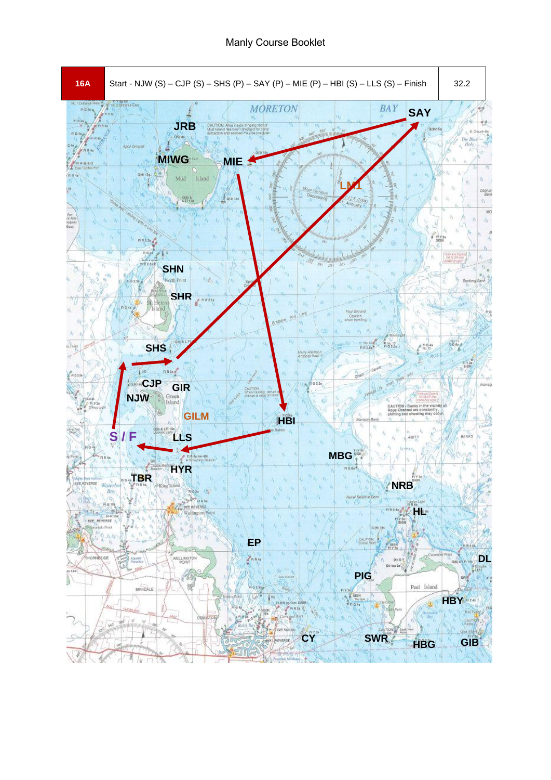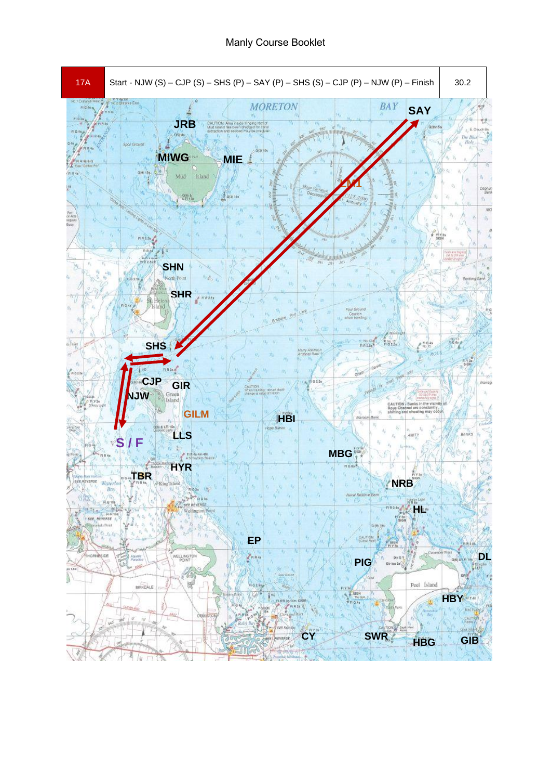